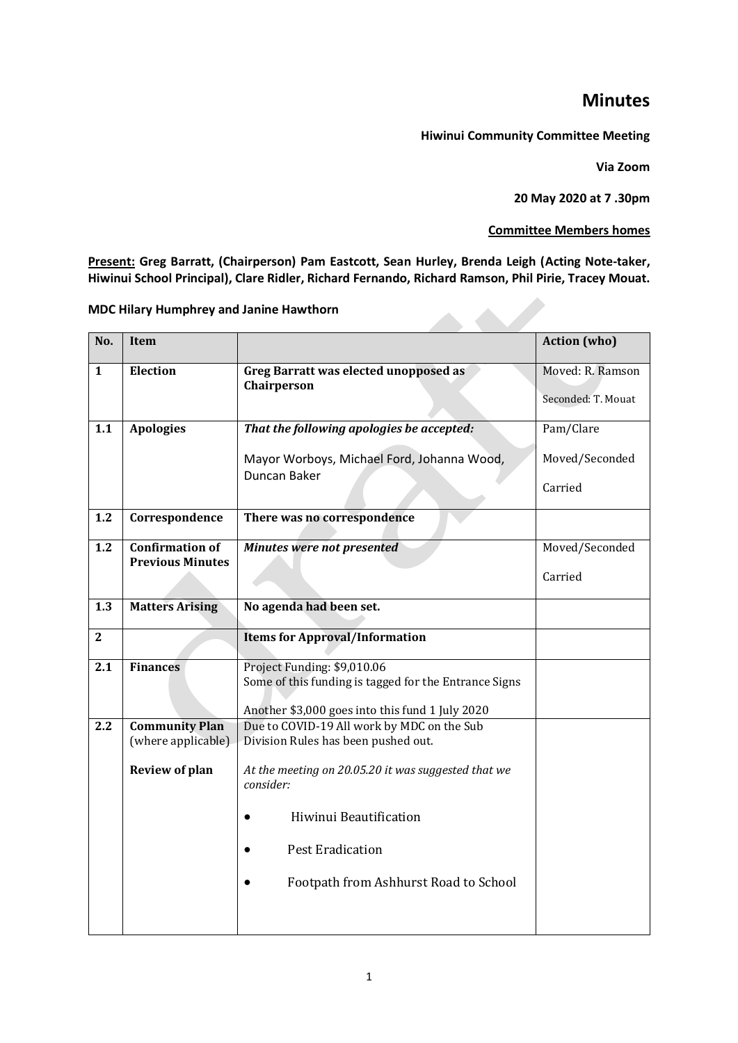## **Minutes**

**Hiwinui Community Committee Meeting**

**Via Zoom** 

**20 May 2020 at 7 .30pm** 

**Committee Members homes**

**Present: Greg Barratt, (Chairperson) Pam Eastcott, Sean Hurley, Brenda Leigh (Acting Note-taker, Hiwinui School Principal), Clare Ridler, Richard Fernando, Richard Ramson, Phil Pirie, Tracey Mouat.**

| <b>MDC Hilary Humphrey and Janine Hawthorn</b>                       |                                                                                                                                                       |                                                 |  |
|----------------------------------------------------------------------|-------------------------------------------------------------------------------------------------------------------------------------------------------|-------------------------------------------------|--|
| Item                                                                 |                                                                                                                                                       | <b>Action</b> (who)                             |  |
| <b>Election</b>                                                      | Greg Barratt was elected unopposed as<br>Chairperson                                                                                                  | Moved: R. Ramson<br>Seconded: T. Mouat          |  |
| <b>Apologies</b>                                                     | That the following apologies be accepted:<br>Mayor Worboys, Michael Ford, Johanna Wood,<br>Duncan Baker                                               | Pam/Clare<br>Moved/Seconded<br>Carried          |  |
| Correspondence                                                       | There was no correspondence                                                                                                                           |                                                 |  |
| <b>Confirmation of</b><br><b>Previous Minutes</b>                    | Minutes were not presented                                                                                                                            | Moved/Seconded<br>Carried                       |  |
| <b>Matters Arising</b>                                               | No agenda had been set.                                                                                                                               |                                                 |  |
|                                                                      | <b>Items for Approval/Information</b>                                                                                                                 |                                                 |  |
| <b>Finances</b>                                                      | Project Funding: \$9,010.06<br>Some of this funding is tagged for the Entrance Signs                                                                  |                                                 |  |
| <b>Community Plan</b><br>(where applicable)<br><b>Review of plan</b> | Due to COVID-19 All work by MDC on the Sub<br>Division Rules has been pushed out.<br>At the meeting on 20.05.20 it was suggested that we<br>consider: |                                                 |  |
|                                                                      | Hiwinui Beautification<br><b>Pest Eradication</b><br>Footpath from Ashhurst Road to School                                                            |                                                 |  |
|                                                                      |                                                                                                                                                       | Another \$3,000 goes into this fund 1 July 2020 |  |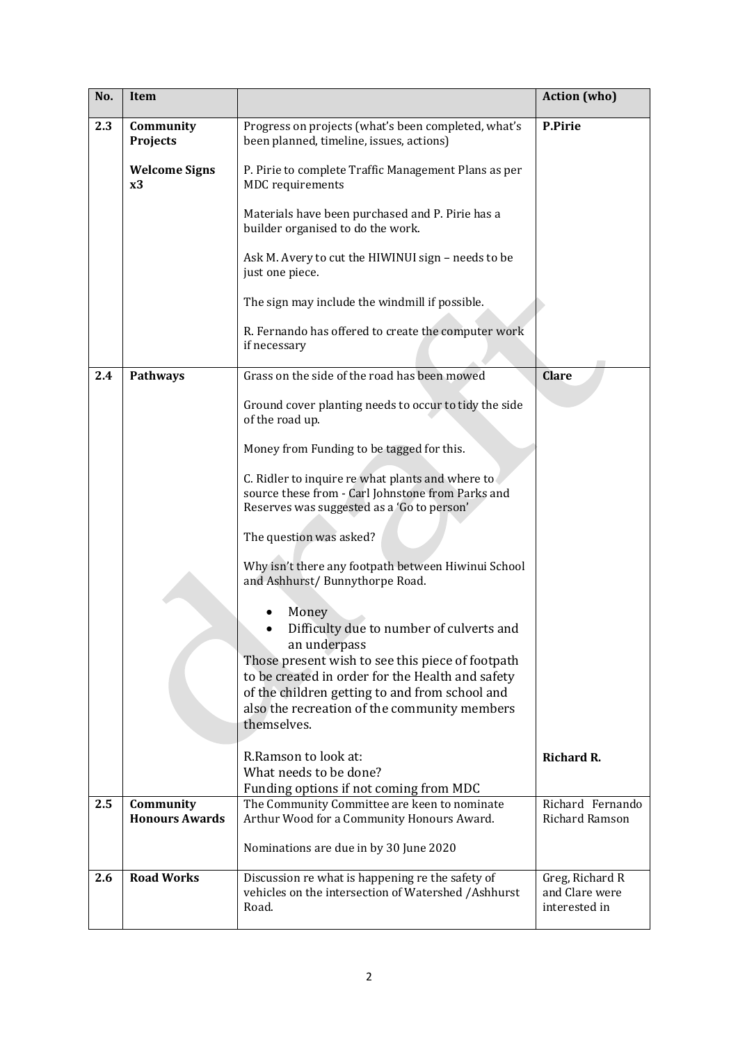| No. | <b>Item</b>                        |                                                                                                                                                     | <b>Action</b> (who)                                |
|-----|------------------------------------|-----------------------------------------------------------------------------------------------------------------------------------------------------|----------------------------------------------------|
| 2.3 | Community<br><b>Projects</b>       | Progress on projects (what's been completed, what's<br>been planned, timeline, issues, actions)                                                     | <b>P.Pirie</b>                                     |
|     | <b>Welcome Signs</b><br>x3         | P. Pirie to complete Traffic Management Plans as per<br>MDC requirements                                                                            |                                                    |
|     |                                    | Materials have been purchased and P. Pirie has a<br>builder organised to do the work.                                                               |                                                    |
|     |                                    | Ask M. Avery to cut the HIWINUI sign - needs to be<br>just one piece.                                                                               |                                                    |
|     |                                    | The sign may include the windmill if possible.                                                                                                      |                                                    |
|     |                                    | R. Fernando has offered to create the computer work<br>if necessary                                                                                 |                                                    |
| 2.4 | <b>Pathways</b>                    | Grass on the side of the road has been mowed                                                                                                        | <b>Clare</b>                                       |
|     |                                    | Ground cover planting needs to occur to tidy the side<br>of the road up.                                                                            |                                                    |
|     |                                    | Money from Funding to be tagged for this.                                                                                                           |                                                    |
|     |                                    | C. Ridler to inquire re what plants and where to<br>source these from - Carl Johnstone from Parks and<br>Reserves was suggested as a 'Go to person' |                                                    |
|     |                                    | The question was asked?                                                                                                                             |                                                    |
|     |                                    | Why isn't there any footpath between Hiwinui School<br>and Ashhurst/ Bunnythorpe Road.                                                              |                                                    |
|     |                                    | Money                                                                                                                                               |                                                    |
|     |                                    | Difficulty due to number of culverts and<br>an underpass                                                                                            |                                                    |
|     |                                    | Those present wish to see this piece of footpath                                                                                                    |                                                    |
|     |                                    | to be created in order for the Health and safety<br>of the children getting to and from school and                                                  |                                                    |
|     |                                    | also the recreation of the community members<br>themselves.                                                                                         |                                                    |
|     |                                    | R.Ramson to look at:                                                                                                                                | <b>Richard R.</b>                                  |
|     |                                    | What needs to be done?<br>Funding options if not coming from MDC                                                                                    |                                                    |
| 2.5 | Community<br><b>Honours Awards</b> | The Community Committee are keen to nominate<br>Arthur Wood for a Community Honours Award.                                                          | Richard Fernando<br>Richard Ramson                 |
|     |                                    | Nominations are due in by 30 June 2020                                                                                                              |                                                    |
| 2.6 | <b>Road Works</b>                  | Discussion re what is happening re the safety of<br>vehicles on the intersection of Watershed /Ashhurst<br>Road.                                    | Greg, Richard R<br>and Clare were<br>interested in |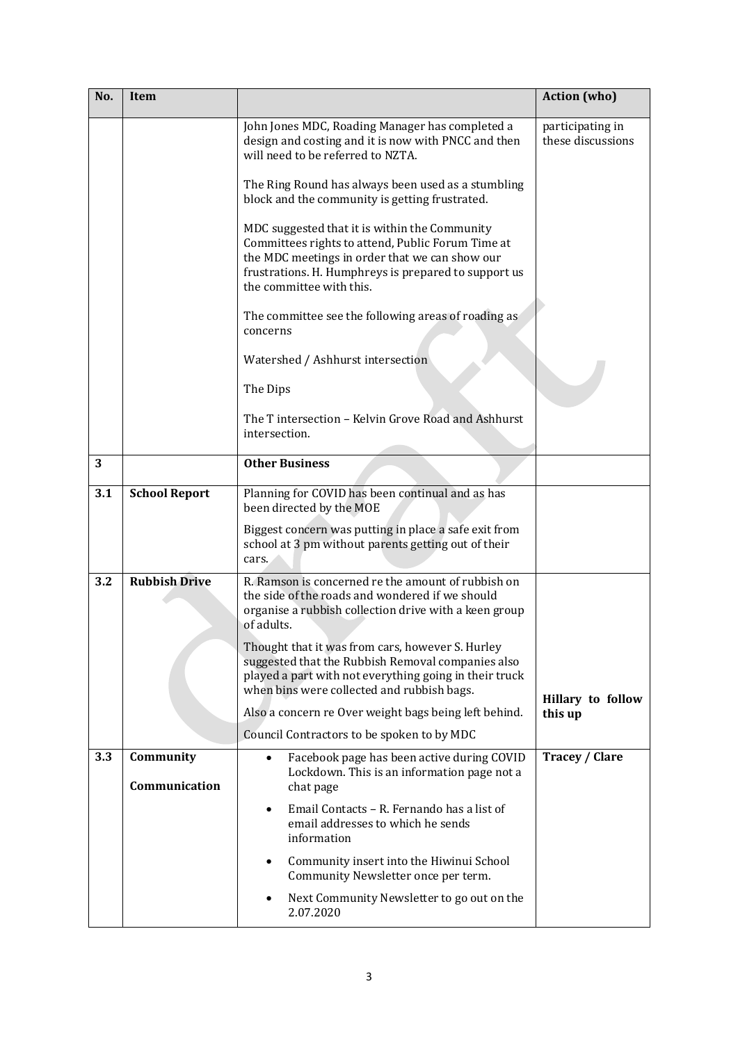| No. | <b>Item</b>                |                                                                                                                                                                                                                                          | <b>Action</b> (who)                   |
|-----|----------------------------|------------------------------------------------------------------------------------------------------------------------------------------------------------------------------------------------------------------------------------------|---------------------------------------|
|     |                            | John Jones MDC, Roading Manager has completed a<br>design and costing and it is now with PNCC and then<br>will need to be referred to NZTA.                                                                                              | participating in<br>these discussions |
|     |                            | The Ring Round has always been used as a stumbling<br>block and the community is getting frustrated.                                                                                                                                     |                                       |
|     |                            | MDC suggested that it is within the Community<br>Committees rights to attend, Public Forum Time at<br>the MDC meetings in order that we can show our<br>frustrations. H. Humphreys is prepared to support us<br>the committee with this. |                                       |
|     |                            | The committee see the following areas of roading as<br>concerns                                                                                                                                                                          |                                       |
|     |                            | Watershed / Ashhurst intersection                                                                                                                                                                                                        |                                       |
|     |                            | The Dips                                                                                                                                                                                                                                 |                                       |
|     |                            | The T intersection - Kelvin Grove Road and Ashhurst<br>intersection.                                                                                                                                                                     |                                       |
| 3   |                            | <b>Other Business</b>                                                                                                                                                                                                                    |                                       |
| 3.1 | <b>School Report</b>       | Planning for COVID has been continual and as has<br>been directed by the MOE                                                                                                                                                             |                                       |
|     |                            | Biggest concern was putting in place a safe exit from<br>school at 3 pm without parents getting out of their<br>cars.                                                                                                                    |                                       |
| 3.2 | <b>Rubbish Drive</b>       | R. Ramson is concerned re the amount of rubbish on<br>the side of the roads and wondered if we should<br>organise a rubbish collection drive with a keen group<br>of adults.                                                             |                                       |
|     |                            | Thought that it was from cars, however S. Hurley<br>suggested that the Rubbish Removal companies also<br>played a part with not everything going in their truck<br>when bins were collected and rubbish bags.                            | Hillary to follow                     |
|     |                            | Also a concern re Over weight bags being left behind.                                                                                                                                                                                    | this up                               |
|     |                            | Council Contractors to be spoken to by MDC                                                                                                                                                                                               |                                       |
| 3.3 | Community<br>Communication | Facebook page has been active during COVID<br>$\bullet$<br>Lockdown. This is an information page not a<br>chat page                                                                                                                      | <b>Tracey / Clare</b>                 |
|     |                            | Email Contacts - R. Fernando has a list of<br>$\bullet$<br>email addresses to which he sends<br>information                                                                                                                              |                                       |
|     |                            | Community insert into the Hiwinui School<br>٠<br>Community Newsletter once per term.                                                                                                                                                     |                                       |
|     |                            | Next Community Newsletter to go out on the<br>2.07.2020                                                                                                                                                                                  |                                       |